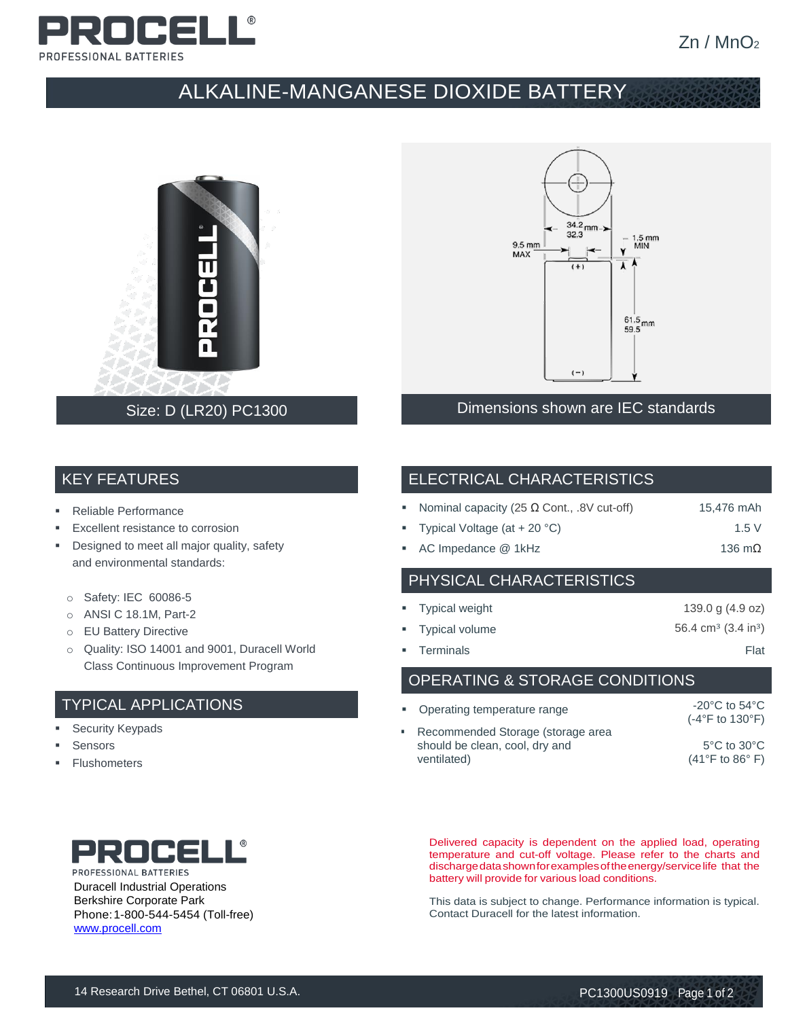

# ALKALINE-MANGANESE DIOXIDE BATTERY





#### Dimensions shown are IEC standards

#### KEY FEATURES

- Reliable Performance
- Excellent resistance to corrosion
- **•** Designed to meet all major quality, safety and environmental standards:
	- o Safety: IEC 60086-5
	- o ANSI C 18.1M, Part-2
	- o EU Battery Directive
	- o Quality: ISO 14001 and 9001, Duracell World Class Continuous Improvement Program

## TYPICAL APPLICATIONS

- **Execurity Keypads**
- **Sensors**
- **Flushometers**

## ELECTRICAL CHARACTERISTICS

|  | Nominal capacity (25 $\Omega$ Cont., .8V cut-off) | 15,476 mAh |
|--|---------------------------------------------------|------------|
|--|---------------------------------------------------|------------|

- Typical Voltage  $(at + 20 °C)$  1.5 V
- AC Impedance @ 1kHz 136 mΩ

## PHYSICAL CHARACTERISTICS

| • Typical weight | 139.0 g $(4.9 \text{ oz})$                |
|------------------|-------------------------------------------|
| • Typical volume | 56.4 cm <sup>3</sup> $(3.4 \text{ in}^3)$ |
| • Terminals      | Flat                                      |

OPERATING & STORAGE CONDITIONS

| • Operating temperature range                                                        | $-20^{\circ}$ C to 54 $^{\circ}$ C<br>$(-4$ °F to 130°F)               |
|--------------------------------------------------------------------------------------|------------------------------------------------------------------------|
| • Recommended Storage (storage area<br>should be clean, cool, dry and<br>ventilated) | $5^{\circ}$ C to $30^{\circ}$ C<br>$(41^{\circ}$ F to 86 $^{\circ}$ F) |



Duracell Industrial Operations Berkshire Corporate Park Phone:1-800-544-5454 (Toll-free) [www.procell.com](http://www.procell.com/)

Delivered capacity is dependent on the applied load, operating temperature and cut-off voltage. Please refer to the charts and dischargedatashownforexamplesoftheenergy/servicelife that the battery will provide for various load conditions.

This data is subject to change. Performance information is typical. Contact Duracell for the latest information.